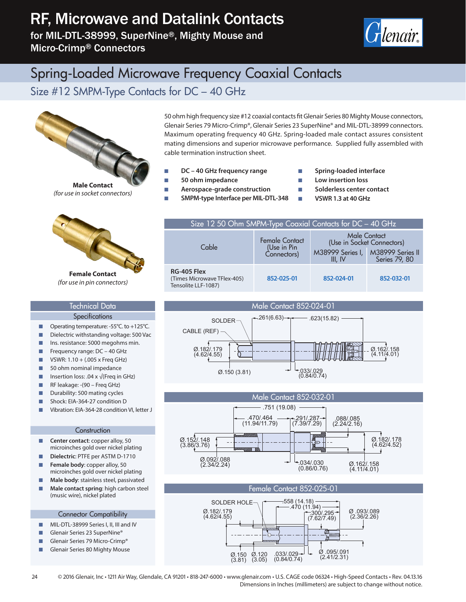# RF, Microwave and Datalink Contacts

for MIL-DTL-38999, SuperNine®, Mighty Mouse and Micro-Crimp® Connectors



### Spring-Loaded Microwave Frequency Coaxial Contacts

Size #12 SMPM-Type Contacts for DC – 40 GHz



50 ohm high frequency size #12 coaxial contacts fit Glenair Series 80 Mighty Mouse connectors, Glenair Series 79 Micro-Crimp®, Glenair Series 23 SuperNine® and MIL-DTL-38999 connectors. Maximum operating frequency 40 GHz. Spring-loaded male contact assures consistent mating dimensions and superior microwave performance. Supplied fully assembled with cable termination instruction sheet.

Size 12 50 Ohm SMPM-Type Coaxial Contacts for DC – 40 GHz

Female Contact (Use in Pin Connectors)

- DC 40 GHz frequency range
- 50 ohm impedance

**Cable** 

(Times Microwave TFlex-405) Tensolite LLF-1087)

**RG-405 Flex**

- **EXECUTE:** Aerospace-grade construction
- SMPM-type Interface per MIL-DTL-348
- **QQ** Spring-loaded interface
- Low insertion loss
- Q**Q Solderless center contact**

Male Contact (Use in Socket Connectors)

> M38999 Series II Series 79, 80

**NO VSWR 1.3 at 40 GHz** 

M38999 Series I, III, IV

**852-025-01 852-024-01 852-032-01**



**Female Contact** *(for use in pin connectors)*

### Technical Data

#### **Specifications**

- Operating temperature: -55°C. to +125°C.
- Dielectric withstanding voltage: 500 Vac
- Ins. resistance: 5000 megohms min.
- $\blacksquare$  Frequency range: DC 40 GHz
- VSWR:  $1.10 + (.005 \times$  Freq GHz)
- $\Box$  50 ohm nominal impedance
- Insertion loss: .04 x  $\sqrt{$ (Freq in GHz)
- RF leakage: (90 Freq GHz)
- Durability: 500 mating cycles
- Shock: EIA-364-27 condition D
- Vibration: EIA-364-28 condition VI, letter J

#### **Construction**

- **Center contact:** copper alloy, 50 microinches gold over nickel plating
- Q**Q Dielectric**: PTFE per ASTM D-1710
- Female body: copper alloy, 50 microinches gold over nickel plating
- **Male body:** stainless steel, passivated
- **Male contact spring**: high carbon steel (music wire), nickel plated

#### Connector Compatibility

- MIL-DTL-38999 Series I, II, III and IV
- Glenair Series 23 SuperNine®
- Glenair Series 79 Micro-Crimp®
- Glenair Series 80 Mighty Mouse